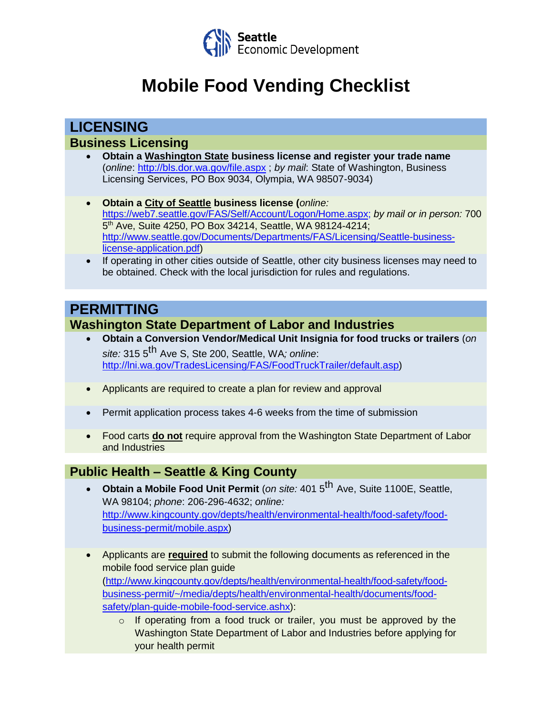

# **Mobile Food Vending Checklist**

**LICENSING**

#### **Business Licensing**

- **Obtain a Washington State business license and register your trade name** (*online*:<http://bls.dor.wa.gov/file.aspx> ; *by mail*: State of Washington, Business Licensing Services, PO Box 9034, Olympia, WA 98507-9034)
- **Obtain a City of Seattle business license (***online:* [https://web7.seattle.gov/FAS/Self/Account/Logon/Home.aspx;](https://web7.seattle.gov/FAS/Self/Account/Logon/Home.aspx) *by mail or in person:* 700 5 th Ave, Suite 4250, PO Box 34214, Seattle, WA 98124-4214; [http://www.seattle.gov/Documents/Departments/FAS/Licensing/Seattle-business](http://www.seattle.gov/Documents/Departments/FAS/Licensing/Seattle-business-license-application.pdf)[license-application.pdf\)](http://www.seattle.gov/Documents/Departments/FAS/Licensing/Seattle-business-license-application.pdf)
- If operating in other cities outside of Seattle, other city business licenses may need to be obtained. Check with the local jurisdiction for rules and regulations.

## **PERMITTING**

### **Washington State Department of Labor and Industries**

- **Obtain a Conversion Vendor/Medical Unit Insignia for food trucks or trailers** (*on site:* 315 5 th Ave S, Ste 200, Seattle, WA*; online*: [http://lni.wa.gov/TradesLicensing/FAS/FoodTruckTrailer/default.asp\)](http://lni.wa.gov/TradesLicensing/FAS/FoodTruckTrailer/default.asp)
- Applicants are required to create a plan for review and approval
- Permit application process takes 4-6 weeks from the time of submission
- Food carts **do not** require approval from the Washington State Department of Labor and Industries

## **Public Health – Seattle & King County**

- **Obtain a Mobile Food Unit Permit** (*on site:* 401 5th Ave, Suite 1100E, Seattle, WA 98104; *phone*: 206-296-4632; *online:*  [http://www.kingcounty.gov/depts/health/environmental-health/food-safety/food](http://www.kingcounty.gov/depts/health/environmental-health/food-safety/food-business-permit/mobile.aspx)[business-permit/mobile.aspx\)](http://www.kingcounty.gov/depts/health/environmental-health/food-safety/food-business-permit/mobile.aspx)
- Applicants are **required** to submit the following documents as referenced in the mobile food service plan guide [\(http://www.kingcounty.gov/depts/health/environmental-health/food-safety/food](http://www.kingcounty.gov/depts/health/environmental-health/food-safety/food-business-permit/~/media/depts/health/environmental-health/documents/food-safety/plan-guide-mobile-food-service.ashx)[business-permit/~/media/depts/health/environmental-health/documents/food](http://www.kingcounty.gov/depts/health/environmental-health/food-safety/food-business-permit/~/media/depts/health/environmental-health/documents/food-safety/plan-guide-mobile-food-service.ashx)[safety/plan-guide-mobile-food-service.ashx\)](http://www.kingcounty.gov/depts/health/environmental-health/food-safety/food-business-permit/~/media/depts/health/environmental-health/documents/food-safety/plan-guide-mobile-food-service.ashx):
	- $\circ$  If operating from a food truck or trailer, you must be approved by the Washington State Department of Labor and Industries before applying for your health permit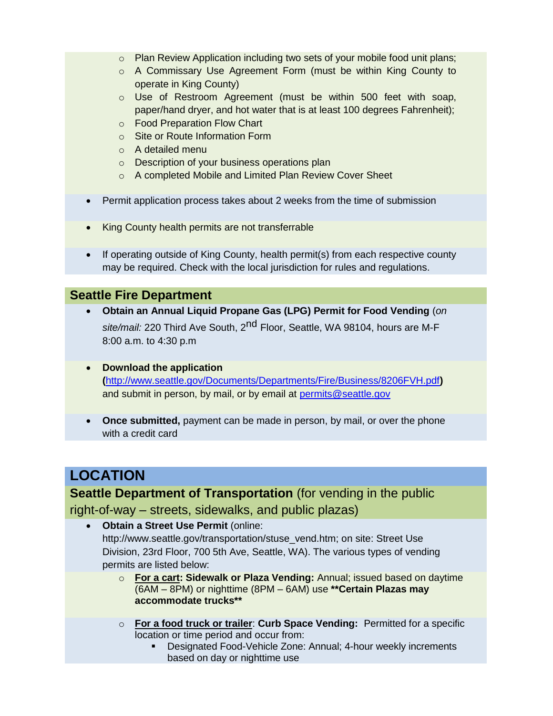- o Plan Review Application including two sets of your mobile food unit plans;
- o A Commissary Use Agreement Form (must be within King County to operate in King County)
- o Use of Restroom Agreement (must be within 500 feet with soap, paper/hand dryer, and hot water that is at least 100 degrees Fahrenheit);
- o Food Preparation Flow Chart
- o Site or Route Information Form
- o A detailed menu
- o Description of your business operations plan
- o A completed Mobile and Limited Plan Review Cover Sheet
- Permit application process takes about 2 weeks from the time of submission
- King County health permits are not transferrable
- If operating outside of King County, health permit(s) from each respective county may be required. Check with the local jurisdiction for rules and regulations.

#### **Seattle Fire Department**

- **Obtain an Annual Liquid Propane Gas (LPG) Permit for Food Vending** (*on* s*ite/mail:* 220 Third Ave South, 2<sup>nd</sup> Floor, Seattle, WA 98104, hours are M-F 8:00 a.m. to 4:30 p.m
- **Download the application (**<http://www.seattle.gov/Documents/Departments/Fire/Business/8206FVH.pdf>**)**  and submit in person, by mail, or by email at [permits@seattle.gov](mailto:permits@seattle.gov)
- **Once submitted,** payment can be made in person, by mail, or over the phone with a credit card

# **LOCATION**

**Seattle Department of Transportation** (for vending in the public right-of-way – streets, sidewalks, and public plazas)

- **Obtain a Street Use Permit** (online: [http://www.seattle.gov/transportation/stuse\\_vend.htm; on](http://www.seattle.gov/transportation/stuse_vend.htm) site: Street Use Division, 23rd Floor, 700 5th Ave, Seattle, WA). The various types of vending permits are listed below:
	- o **For a cart: Sidewalk or Plaza Vending:** Annual; issued based on daytime (6AM – 8PM) or nighttime (8PM – 6AM) use **\*\*Certain Plazas may accommodate trucks\*\***
	- o **For a food truck or trailer**: **Curb Space Vending:** Permitted for a specific location or time period and occur from:
		- Designated Food-Vehicle Zone: Annual; 4-hour weekly increments based on day or nighttime use